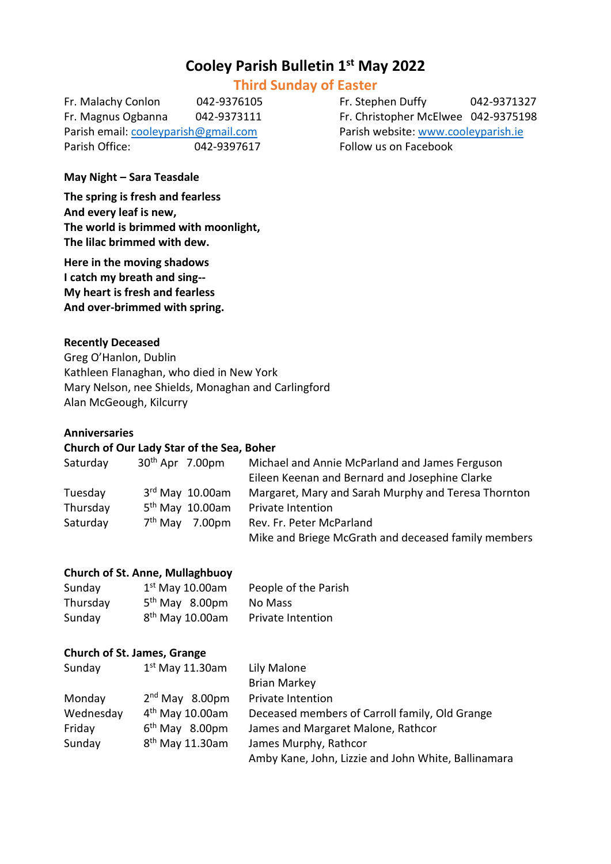# **Cooley Parish Bulletin 1 st May 2022**

# **Third Sunday of Easter**

Fr. Malachy Conlon 042-9376105 Fr. Stephen Duffy 042-9371327 Fr. Magnus Ogbanna 042-9373111 Fr. Christopher McElwee 042-9375198 Parish email[: cooleyparish@gmail.com](mailto:cooleyparish@gmail.com) Parish website: [www.cooleyparish.ie](http://www.cooleyparish.ie/) Parish Office: 042-9397617 Follow us on Facebook

## **May Night – Sara Teasdale**

**The spring is fresh and fearless And every leaf is new, The world is brimmed with moonlight, The lilac brimmed with dew.**

**Here in the moving shadows I catch my breath and sing-- My heart is fresh and fearless And over-brimmed with spring.**

#### **Recently Deceased**

Greg O'Hanlon, Dublin Kathleen Flanaghan, who died in New York Mary Nelson, nee Shields, Monaghan and Carlingford Alan McGeough, Kilcurry

#### **Anniversaries**

# **Church of Our Lady Star of the Sea, Boher**

| Saturday | $30th$ Apr 7.00pm             | Michael and Annie McParland and James Ferguson      |
|----------|-------------------------------|-----------------------------------------------------|
|          |                               | Eileen Keenan and Bernard and Josephine Clarke      |
| Tuesday  | $3rd$ May $10.00$ am          | Margaret, Mary and Sarah Murphy and Teresa Thornton |
| Thursday | 5 <sup>th</sup> May 10.00am   | Private Intention                                   |
| Saturday | 7 <sup>th</sup> May<br>7.00pm | Rev. Fr. Peter McParland                            |
|          |                               | Mike and Briege McGrath and deceased family members |

## **Church of St. Anne, Mullaghbuoy**

| Sunday   | $1st$ May 10.00am          | People of the Parish |
|----------|----------------------------|----------------------|
| Thursday | 5 <sup>th</sup> May 8.00pm | No Mass              |
| Sunday   | $8th$ May 10.00am          | Private Intention    |

#### **Church of St. James, Grange**

| Sunday    | $1st$ May 11.30am           | Lily Malone                                         |
|-----------|-----------------------------|-----------------------------------------------------|
|           |                             | <b>Brian Markey</b>                                 |
| Monday    | $2nd$ May 8.00pm            | Private Intention                                   |
| Wednesday | $4th$ May 10.00am           | Deceased members of Carroll family, Old Grange      |
| Friday    | $6th$ May 8.00pm            | James and Margaret Malone, Rathcor                  |
| Sunday    | 8 <sup>th</sup> May 11.30am | James Murphy, Rathcor                               |
|           |                             | Amby Kane, John, Lizzie and John White, Ballinamara |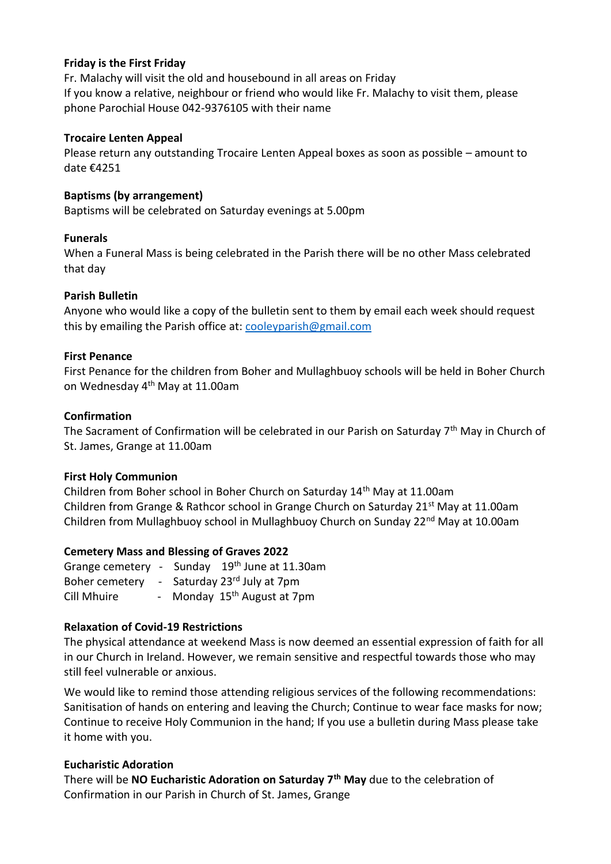### **Friday is the First Friday**

Fr. Malachy will visit the old and housebound in all areas on Friday If you know a relative, neighbour or friend who would like Fr. Malachy to visit them, please phone Parochial House 042-9376105 with their name

#### **Trocaire Lenten Appeal**

Please return any outstanding Trocaire Lenten Appeal boxes as soon as possible – amount to date €4251

#### **Baptisms (by arrangement)**

Baptisms will be celebrated on Saturday evenings at 5.00pm

#### **Funerals**

When a Funeral Mass is being celebrated in the Parish there will be no other Mass celebrated that day

#### **Parish Bulletin**

Anyone who would like a copy of the bulletin sent to them by email each week should request this by emailing the Parish office at: [cooleyparish@gmail.com](mailto:cooleyparish@gmail.com)

#### **First Penance**

First Penance for the children from Boher and Mullaghbuoy schools will be held in Boher Church on Wednesday 4<sup>th</sup> May at 11.00am

#### **Confirmation**

The Sacrament of Confirmation will be celebrated in our Parish on Saturday 7<sup>th</sup> May in Church of St. James, Grange at 11.00am

### **First Holy Communion**

Children from Boher school in Boher Church on Saturday 14<sup>th</sup> May at 11.00am Children from Grange & Rathcor school in Grange Church on Saturday 21<sup>st</sup> May at 11.00am Children from Mullaghbuoy school in Mullaghbuoy Church on Sunday 22nd May at 10.00am

### **Cemetery Mass and Blessing of Graves 2022**

|             | Grange cemetery - Sunday 19th June at 11.30am |
|-------------|-----------------------------------------------|
|             | Boher cemetery - Saturday 23rd July at 7pm    |
| Cill Mhuire | - Monday 15 <sup>th</sup> August at 7pm       |

### **Relaxation of Covid-19 Restrictions**

The physical attendance at weekend Mass is now deemed an essential expression of faith for all in our Church in Ireland. However, we remain sensitive and respectful towards those who may still feel vulnerable or anxious.

We would like to remind those attending religious services of the following recommendations: Sanitisation of hands on entering and leaving the Church; Continue to wear face masks for now; Continue to receive Holy Communion in the hand; If you use a bulletin during Mass please take it home with you.

#### **Eucharistic Adoration**

There will be **NO Eucharistic Adoration on Saturday 7th May** due to the celebration of Confirmation in our Parish in Church of St. James, Grange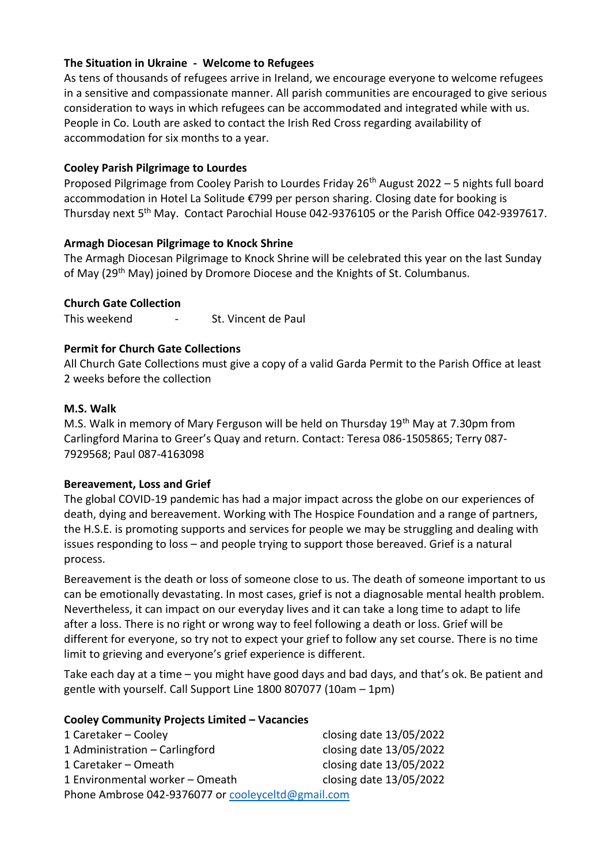# **The Situation in Ukraine - Welcome to Refugees**

As tens of thousands of refugees arrive in Ireland, we encourage everyone to welcome refugees in a sensitive and compassionate manner. All parish communities are encouraged to give serious consideration to ways in which refugees can be accommodated and integrated while with us. People in Co. Louth are asked to contact the Irish Red Cross regarding availability of accommodation for six months to a year.

## **Cooley Parish Pilgrimage to Lourdes**

Proposed Pilgrimage from Cooley Parish to Lourdes Friday  $26<sup>th</sup>$  August 2022 – 5 nights full board accommodation in Hotel La Solitude €799 per person sharing. Closing date for booking is Thursday next 5<sup>th</sup> May. Contact Parochial House 042-9376105 or the Parish Office 042-9397617.

## **Armagh Diocesan Pilgrimage to Knock Shrine**

The Armagh Diocesan Pilgrimage to Knock Shrine will be celebrated this year on the last Sunday of May (29<sup>th</sup> May) joined by Dromore Diocese and the Knights of St. Columbanus.

## **Church Gate Collection**

This weekend - St. Vincent de Paul

# **Permit for Church Gate Collections**

All Church Gate Collections must give a copy of a valid Garda Permit to the Parish Office at least 2 weeks before the collection

## **M.S. Walk**

M.S. Walk in memory of Mary Ferguson will be held on Thursday 19<sup>th</sup> May at 7.30pm from Carlingford Marina to Greer's Quay and return. Contact: Teresa 086-1505865; Terry 087- 7929568; Paul 087-4163098

# **Bereavement, Loss and Grief**

The global COVID-19 pandemic has had a major impact across the globe on our experiences of death, dying and bereavement. Working with The Hospice Foundation and a range of partners, the H.S.E. is promoting supports and services for people we may be struggling and dealing with issues responding to loss – and people trying to support those bereaved. Grief is a natural process.

Bereavement is the death or loss of someone close to us. The death of someone important to us can be emotionally devastating. In most cases, grief is not a diagnosable mental health problem. Nevertheless, it can impact on our everyday lives and it can take a long time to adapt to life after a loss. There is no right or wrong way to feel following a death or loss. Grief will be different for everyone, so try not to expect your grief to follow any set course. There is no time limit to grieving and everyone's grief experience is different.

Take each day at a time – you might have good days and bad days, and that's ok. Be patient and gentle with yourself. Call Support Line 1800 807077 (10am – 1pm)

### **Cooley Community Projects Limited – Vacancies**

| 1 Caretaker – Cooley                               | closing date 13/05/2022 |  |  |  |
|----------------------------------------------------|-------------------------|--|--|--|
| 1 Administration - Carlingford                     | closing date 13/05/2022 |  |  |  |
| 1 Caretaker – Omeath                               | closing date 13/05/2022 |  |  |  |
| 1 Environmental worker - Omeath                    | closing date 13/05/2022 |  |  |  |
| Phone Ambrose 042-9376077 or cooleyceltd@gmail.com |                         |  |  |  |